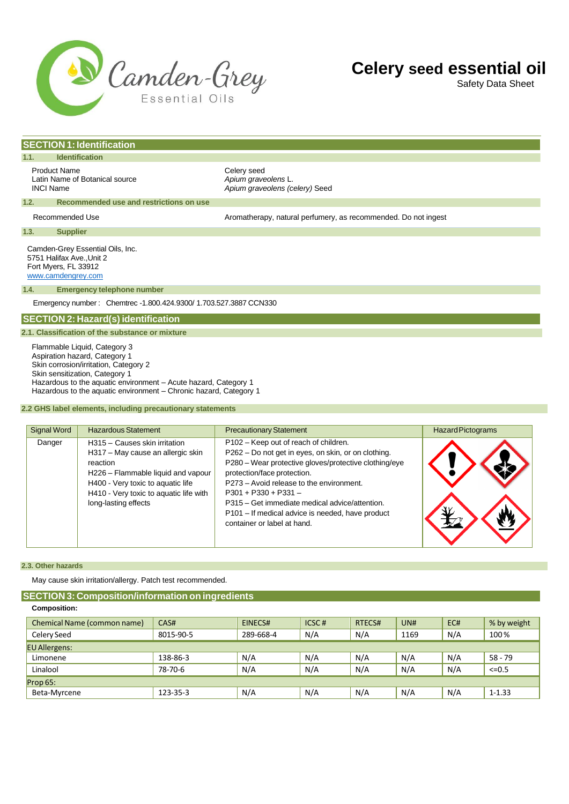

Safety Data Sheet

# **SECTION 1:Identification**

**1.1. Identification**

Product Name<br>
Latin Name of Botanical source<br>
Latin Name of Botanical source<br>
Celery Apium graveolens L. Latin Name of Botanical source<br>*INCI Name* 

Apium graveolens (celery) Seed

### **1.2. Recommended use and restrictions on use**

Recommended Use **Aromatherapy, natural perfumery, as recommended.** Do not ingest

**1.3. Supplier**

Camden-Grey Essential Oils, Inc. 5751 Halifax Ave.,Unit 2 Fort Myers, FL 33912 [www.camdengrey.com](http://www.camdengrey.com/)

#### **1.4. Emergency telephone number**

Emergency number : Chemtrec -1.800.424.9300/ 1.703.527.3887 CCN330

# **SECTION 2: Hazard(s) identification**

## **2.1. Classification of the substance or mixture**

Flammable Liquid, Category 3 Aspiration hazard, Category 1 Skin corrosion/irritation, Category 2 Skin sensitization, Category 1 Hazardous to the aquatic environment – Acute hazard, Category 1 Hazardous to the aquatic environment – Chronic hazard, Category 1

### **2.2 GHS label elements, including precautionary statements**

| <b>Signal Word</b> | <b>Hazardous Statement</b>                                                                                                                                                                                                  | <b>Precautionary Statement</b>                                                                                                                                                                                                                                                                                                                                                                  | <b>Hazard Pictograms</b> |
|--------------------|-----------------------------------------------------------------------------------------------------------------------------------------------------------------------------------------------------------------------------|-------------------------------------------------------------------------------------------------------------------------------------------------------------------------------------------------------------------------------------------------------------------------------------------------------------------------------------------------------------------------------------------------|--------------------------|
| Danger             | H315 - Causes skin irritation<br>H317 - May cause an allergic skin<br>reaction<br>H226 - Flammable liquid and vapour<br>H400 - Very toxic to aquatic life<br>H410 - Very toxic to aquatic life with<br>long-lasting effects | P102 - Keep out of reach of children.<br>P262 - Do not get in eyes, on skin, or on clothing.<br>P280 - Wear protective gloves/protective clothing/eye<br>protection/face protection.<br>P273 - Avoid release to the environment.<br>$P301 + P330 + P331 -$<br>P315 – Get immediate medical advice/attention.<br>P101 - If medical advice is needed, have product<br>container or label at hand. |                          |

### **2.3. Other hazards**

May cause skin irritation/allergy. Patch test recommended.

# **SECTION 3: Composition/information on ingredients**

# **Composition:**

| Chemical Name (common name) | CAS#      | EINECS#   | ICSC# | RTECS# | UNH  | EC# | % by weight |
|-----------------------------|-----------|-----------|-------|--------|------|-----|-------------|
| Celery Seed                 | 8015-90-5 | 289-668-4 | N/A   | N/A    | 1169 | N/A | 100%        |
| <b>EU Allergens:</b>        |           |           |       |        |      |     |             |
| Limonene                    | 138-86-3  | N/A       | N/A   | N/A    | N/A  | N/A | $58 - 79$   |
| Linalool                    | 78-70-6   | N/A       | N/A   | N/A    | N/A  | N/A | $<=0.5$     |
| Prop $65:$                  |           |           |       |        |      |     |             |
| Beta-Myrcene                | 123-35-3  | N/A       | N/A   | N/A    | N/A  | N/A | $1 - 1.33$  |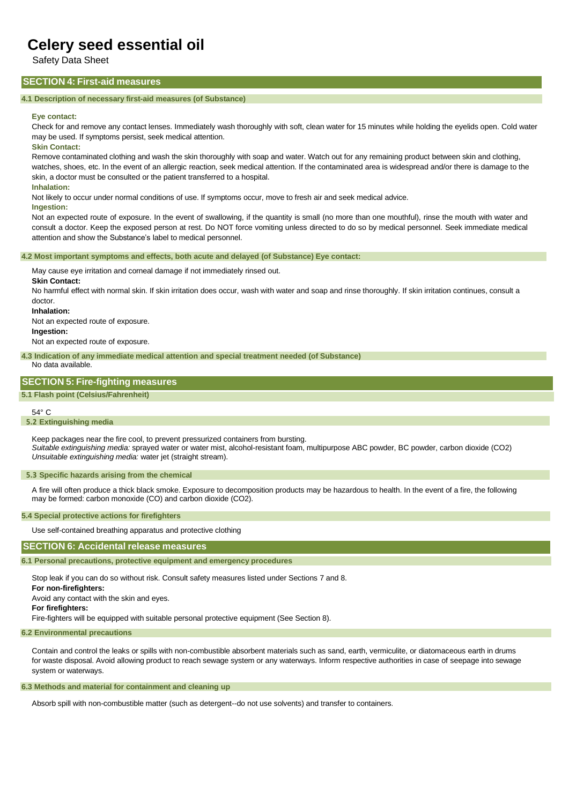Safety Data Sheet

# **SECTION 4: First-aid measures**

# **4.1 Description of necessary first-aid measures (of Substance)**

### **Eye contact:**

Check for and remove any contact lenses. Immediately wash thoroughly with soft, clean water for 15 minutes while holding the eyelids open. Cold water may be used. If symptoms persist, seek medical attention.

**Skin Contact:**

Remove contaminated clothing and wash the skin thoroughly with soap and water. Watch out for any remaining product between skin and clothing, watches, shoes, etc. In the event of an allergic reaction, seek medical attention. If the contaminated area is widespread and/or there is damage to the skin, a doctor must be consulted or the patient transferred to a hospital.

#### **Inhalation:**

Not likely to occur under normal conditions of use. If symptoms occur, move to fresh air and seek medical advice.

#### **Ingestion:**

Not an expected route of exposure. In the event of swallowing, if the quantity is small (no more than one mouthful), rinse the mouth with water and consult a doctor. Keep the exposed person at rest. Do NOT force vomiting unless directed to do so by medical personnel. Seek immediate medical attention and show the Substance's label to medical personnel.

#### **4.2 Most important symptoms and effects, both acute and delayed (of Substance) Eye contact:**

May cause eye irritation and corneal damage if not immediately rinsed out.

#### **Skin Contact:**

No harmful effect with normal skin. If skin irritation does occur, wash with water and soap and rinse thoroughly. If skin irritation continues, consult a doctor.

**Inhalation:**

Not an expected route of exposure. **Ingestion:**

Not an expected route of exposure.

**4.3 Indication of any immediate medical attention and special treatment needed (of Substance)** No data available.

# **SECTION 5: Fire-fighting measures**

**5.1 Flash point (Celsius/Fahrenheit)**

### 54° C

## **5.2 Extinguishing media**

Keep packages near the fire cool, to prevent pressurized containers from bursting. *Suitable extinguishing media:* sprayed water or water mist, alcohol-resistant foam, multipurpose ABC powder, BC powder, carbon dioxide (CO2) *Unsuitable extinguishing media:* water jet (straight stream).

#### **5.3 Specific hazards arising from the chemical**

A fire will often produce a thick black smoke. Exposure to decomposition products may be hazardous to health. In the event of a fire, the following may be formed: carbon monoxide (CO) and carbon dioxide (CO2).

### **5.4 Special protective actions for firefighters**

Use self-contained breathing apparatus and protective clothing

## **SECTION 6: Accidental release measures**

**6.1 Personal precautions, protective equipment and emergency procedures**

Stop leak if you can do so without risk. Consult safety measures listed under Sections 7 and 8.

**For non-firefighters:**

Avoid any contact with the skin and eyes.

# **For firefighters:**

Fire-fighters will be equipped with suitable personal protective equipment (See Section 8).

# **6.2 Environmental precautions**

Contain and control the leaks or spills with non-combustible absorbent materials such as sand, earth, vermiculite, or diatomaceous earth in drums for waste disposal. Avoid allowing product to reach sewage system or any waterways. Inform respective authorities in case of seepage into sewage system or waterways.

# **6.3 Methods and material for containment and cleaning up**

Absorb spill with non-combustible matter (such as detergent--do not use solvents) and transfer to containers.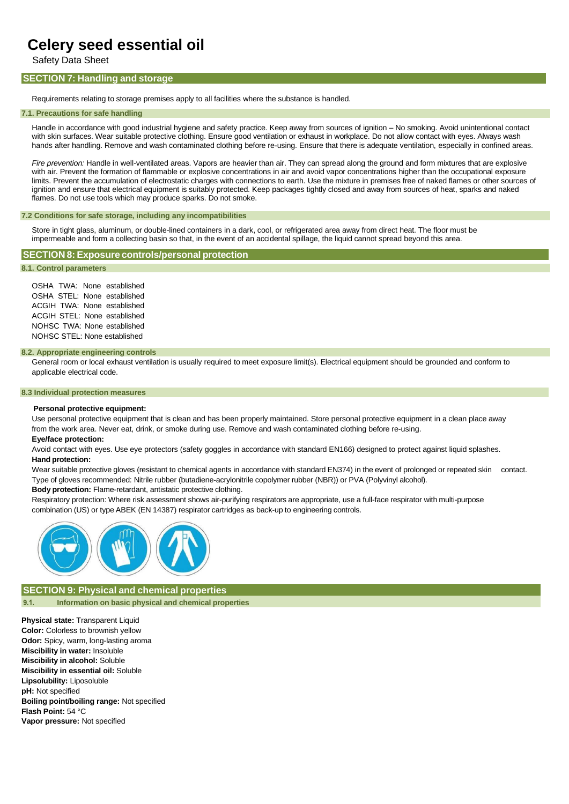Safety Data Sheet

# **SECTION 7: Handling and storage**

Requirements relating to storage premises apply to all facilities where the substance is handled.

#### **7.1. Precautions for safe handling**

Handle in accordance with good industrial hygiene and safety practice. Keep away from sources of ignition – No smoking. Avoid unintentional contact with skin surfaces. Wear suitable protective clothing. Ensure good ventilation or exhaust in workplace. Do not allow contact with eyes. Always wash hands after handling. Remove and wash contaminated clothing before re-using. Ensure that there is adequate ventilation, especially in confined areas.

*Fire prevention:* Handle in well-ventilated areas. Vapors are heavier than air. They can spread along the ground and form mixtures that are explosive with air. Prevent the formation of flammable or explosive concentrations in air and avoid vapor concentrations higher than the occupational exposure limits. Prevent the accumulation of electrostatic charges with connections to earth. Use the mixture in premises free of naked flames or other sources of ignition and ensure that electrical equipment is suitably protected. Keep packages tightly closed and away from sources of heat, sparks and naked flames. Do not use tools which may produce sparks. Do not smoke.

### **7.2 Conditions for safe storage, including any incompatibilities**

Store in tight glass, aluminum, or double-lined containers in a dark, cool, or refrigerated area away from direct heat. The floor must be impermeable and form a collecting basin so that, in the event of an accidental spillage, the liquid cannot spread beyond this area.

## **SECTION 8: Exposure controls/personal protection**

# **8.1. Control parameters**

OSHA TWA: None established OSHA STEL: None established ACGIH TWA: None established ACGIH STEL: None established NOHSC TWA: None established NOHSC STEL: None established

#### **8.2. Appropriate engineering controls**

General room or local exhaust ventilation is usually required to meet exposure limit(s). Electrical equipment should be grounded and conform to applicable electrical code.

## **8.3 Individual protection measures**

#### **Personal protective equipment:**

Use personal protective equipment that is clean and has been properly maintained. Store personal protective equipment in a clean place away from the work area. Never eat, drink, or smoke during use. Remove and wash contaminated clothing before re-using. **Eye/face protection:**

## Avoid contact with eyes. Use eye protectors (safety goggles in accordance with standard EN166) designed to protect against liquid splashes. **Hand protection:**

Wear suitable protective gloves (resistant to chemical agents in accordance with standard EN374) in the event of prolonged or repeated skin contact. Type of gloves recommended: Nitrile rubber (butadiene-acrylonitrile copolymer rubber (NBR)) or PVA (Polyvinyl alcohol).

**Body protection:** Flame-retardant, antistatic protective clothing.

Respiratory protection: Where risk assessment shows air-purifying respirators are appropriate, use a full-face respirator with multi-purpose combination (US) or type ABEK (EN 14387) respirator cartridges as back-up to engineering controls.



**SECTION 9: Physical and chemical properties**  $9.1.$ **Information on basic physical and chemical properties**

**Physical state:** Transparent Liquid **Color:** Colorless to brownish yellow **Odor:** Spicy, warm, long-lasting aroma **Miscibility in water:** Insoluble **Miscibility in alcohol:** Soluble **Miscibility in essential oil:** Soluble **Lipsolubility:** Liposoluble **pH:** Not specified **Boiling point/boiling range:** Not specified **Flash Point:** 54 °C **Vapor pressure:** Not specified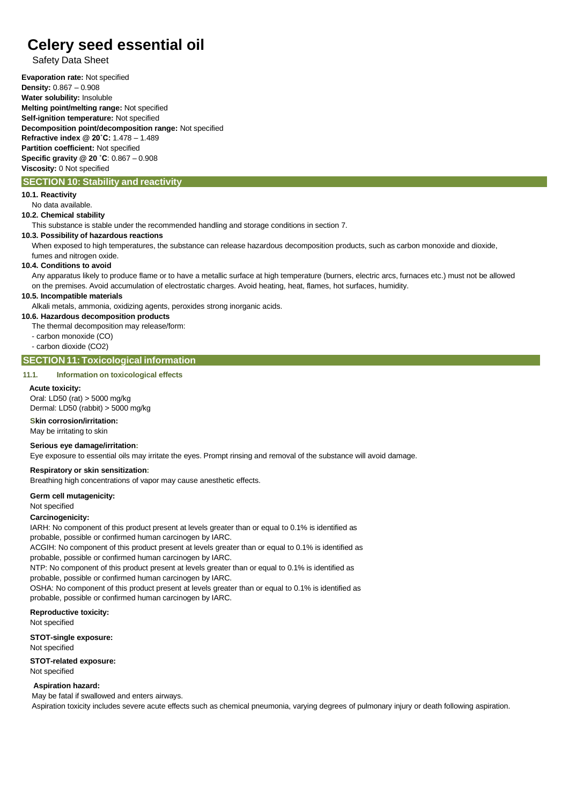# Safety Data Sheet

**Evaporation rate:** Not specified **Density:** 0.867 – 0.908 **Water solubility:** Insoluble **Melting point/melting range:** Not specified **Self-ignition temperature:** Not specified **Decomposition point/decomposition range:** Not specified **Refractive index @ 20˚C:** 1.478 – 1.489 **Partition coefficient:** Not specified **Specific gravity @ 20 ˚C**: 0.867 – 0.908 **Viscosity:** 0 Not specified

# **SECTION 10: Stability and reactivity**

# **10.1. Reactivity**

No data available.

**10.2. Chemical stability**

This substance is stable under the recommended handling and storage conditions in section 7.

## **10.3. Possibility of hazardous reactions**

When exposed to high temperatures, the substance can release hazardous decomposition products, such as carbon monoxide and dioxide, fumes and nitrogen oxide.

### **10.4. Conditions to avoid**

Any apparatus likely to produce flame or to have a metallic surface at high temperature (burners, electric arcs, furnaces etc.) must not be allowed on the premises. Avoid accumulation of electrostatic charges. Avoid heating, heat, flames, hot surfaces, humidity.

# **10.5. Incompatible materials**

Alkali metals, ammonia, oxidizing agents, peroxides strong inorganic acids.

# **10.6. Hazardous decomposition products**

The thermal decomposition may release/form:

- carbon monoxide (CO)

- carbon dioxide (CO2)

# **SECTION 11:Toxicological information**

### **11.1. Information on toxicological effects**

### **Acute toxicity:**

Oral: LD50 (rat) > 5000 mg/kg

Dermal: LD50 (rabbit) > 5000 mg/kg

# **Skin corrosion/irritation:**

May be irritating to skin

# **Serious eye damage/irritation:**

Eye exposure to essential oils may irritate the eyes. Prompt rinsing and removal of the substance will avoid damage.

## **Respiratory or skin sensitization:**

Breathing high concentrations of vapor may cause anesthetic effects.

## **Germ cell mutagenicity:**

Not specified

## **Carcinogenicity:**

IARH: No component of this product present at levels greater than or equal to 0.1% is identified as probable, possible or confirmed human carcinogen by IARC.

ACGIH: No component of this product present at levels greater than or equal to 0.1% is identified as probable, possible or confirmed human carcinogen by IARC.

NTP: No component of this product present at levels greater than or equal to 0.1% is identified as probable, possible or confirmed human carcinogen by IARC.

OSHA: No component of this product present at levels greater than or equal to 0.1% is identified as probable, possible or confirmed human carcinogen by IARC.

## **Reproductive toxicity:**

Not specified

**STOT-single exposure:**

Not specified

# **STOT-related exposure:**

Not specified

# **Aspiration hazard:**

May be fatal if swallowed and enters airways.

Aspiration toxicity includes severe acute effects such as chemical pneumonia, varying degrees of pulmonary injury or death following aspiration.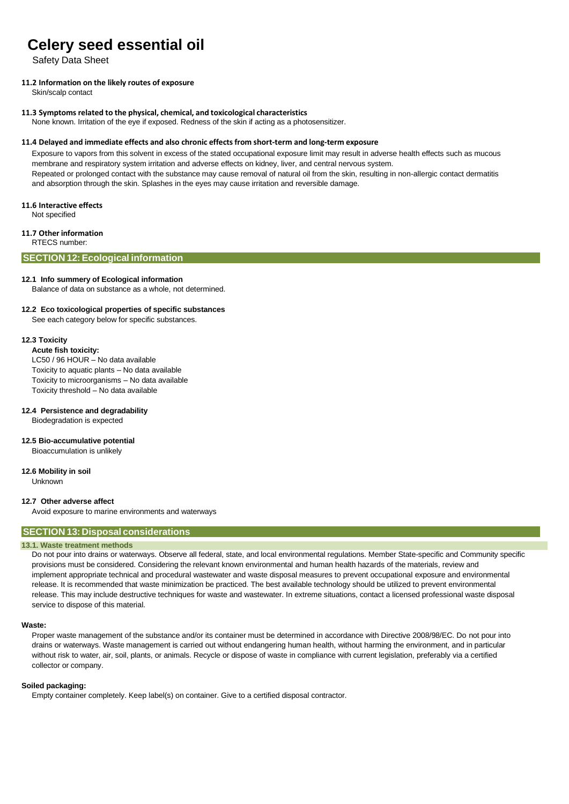Safety Data Sheet

# **11.2 Information on the likely routes of exposure**

Skin/scalp contact

## **11.3 Symptoms related to the physical, chemical, and toxicological characteristics**

None known. Irritation of the eye if exposed. Redness of the skin if acting as a photosensitizer.

## **11.4 Delayed and immediate effects and also chronic effects from short-term and long-term exposure**

Exposure to vapors from this solvent in excess of the stated occupational exposure limit may result in adverse health effects such as mucous membrane and respiratory system irritation and adverse effects on kidney, liver, and central nervous system. Repeated or prolonged contact with the substance may cause removal of natural oil from the skin, resulting in non-allergic contact dermatitis and absorption through the skin. Splashes in the eyes may cause irritation and reversible damage.

## **11.6 Interactive effects**

Not specified

# **11.7 Other information**

RTECS number:

# **SECTION 12:Ecological information**

## **12.1 Info summery of Ecological information**

Balance of data on substance as a whole, not determined.

# **12.2 Eco toxicological properties of specific substances**

See each category below for specific substances.

## **12.3 Toxicity**

**Acute fish toxicity:**

LC50 / 96 HOUR – No data available

Toxicity to aquatic plants – No data available

Toxicity to microorganisms – No data available

Toxicity threshold – No data available

## **12.4 Persistence and degradability**

Biodegradation is expected

## **12.5 Bio-accumulative potential**

Bioaccumulation is unlikely

## **12.6 Mobility in soil**

**Unknown** 

## **12.7 Other adverse affect**

Avoid exposure to marine environments and waterways

# **SECTION 13: Disposal considerations**

## **13.1. Waste treatment methods**

Do not pour into drains or waterways. Observe all federal, state, and local environmental regulations. Member State-specific and Community specific provisions must be considered. Considering the relevant known environmental and human health hazards of the materials, review and implement appropriate technical and procedural wastewater and waste disposal measures to prevent occupational exposure and environmental release. It is recommended that waste minimization be practiced. The best available technology should be utilized to prevent environmental release. This may include destructive techniques for waste and wastewater. In extreme situations, contact a licensed professional waste disposal service to dispose of this material.

## **Waste:**

Proper waste management of the substance and/or its container must be determined in accordance with Directive 2008/98/EC. Do not pour into drains or waterways. Waste management is carried out without endangering human health, without harming the environment, and in particular without risk to water, air, soil, plants, or animals. Recycle or dispose of waste in compliance with current legislation, preferably via a certified collector or company.

## **Soiled packaging:**

Empty container completely. Keep label(s) on container. Give to a certified disposal contractor.